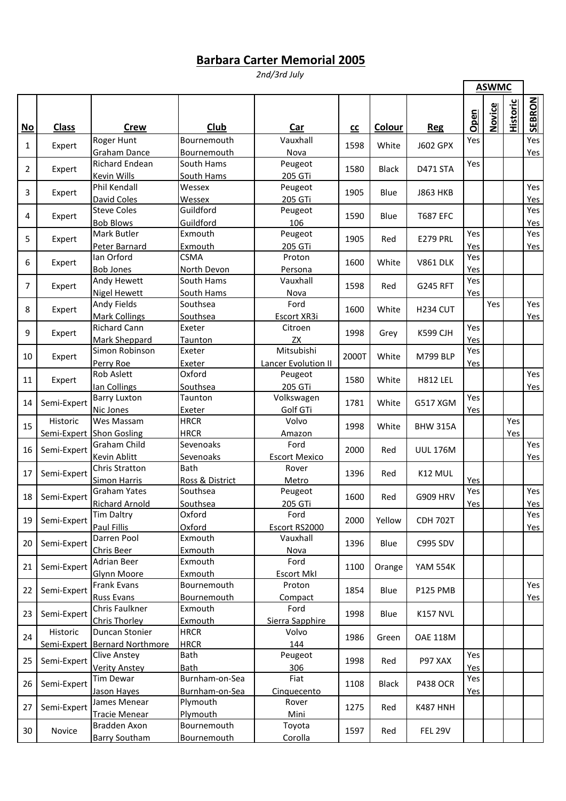## **Barbara Carter Memorial 2005**

*2nd/3rd July*

|    |              |                                                 |                                   |                                   |       |              |                 | <b>ASWMC</b> |               |                 |            |
|----|--------------|-------------------------------------------------|-----------------------------------|-----------------------------------|-------|--------------|-----------------|--------------|---------------|-----------------|------------|
| No | <b>Class</b> | <b>Crew</b>                                     | Club                              | Car                               | cc    | Colour       | <b>Reg</b>      | Open         | <b>Novice</b> | <b>Historic</b> | SEBRON     |
| 1  | Expert       | Roger Hunt<br>Graham Dance                      | Bournemouth<br>Bournemouth        | Vauxhall<br>Nova                  | 1598  | White        | <b>J602 GPX</b> | Yes          |               |                 | Yes<br>Yes |
| 2  | Expert       | <b>Richard Endean</b><br>Kevin Wills            | South Hams<br>South Hams          | Peugeot<br>205 GTi                | 1580  | <b>Black</b> | <b>D471 STA</b> | Yes          |               |                 |            |
| 3  | Expert       | Phil Kendall<br>David Coles                     | Wessex<br>Wessex                  | Peugeot<br>205 GTi                | 1905  | Blue         | <b>J863 HKB</b> |              |               |                 | Yes<br>Yes |
| 4  | Expert       | <b>Steve Coles</b><br><b>Bob Blows</b>          | Guildford<br>Guildford            | Peugeot<br>106                    | 1590  | Blue         | <b>T687 EFC</b> |              |               |                 | Yes<br>Yes |
| 5  | Expert       | <b>Mark Butler</b><br>Peter Barnard             | Exmouth<br>Exmouth                | Peugeot<br>205 GTi                | 1905  | Red          | <b>E279 PRL</b> | Yes<br>Yes   |               |                 | Yes<br>Yes |
| 6  | Expert       | Ian Orford<br><b>Bob Jones</b>                  | <b>CSMA</b><br>North Devon        | Proton<br>Persona                 | 1600  | White        | <b>V861 DLK</b> | Yes<br>Yes   |               |                 |            |
| 7  | Expert       | Andy Hewett<br><b>Nigel Hewett</b>              | South Hams<br>South Hams          | Vauxhall<br>Nova                  | 1598  | Red          | <b>G245 RFT</b> | Yes<br>Yes   |               |                 |            |
| 8  | Expert       | Andy Fields<br><b>Mark Collings</b>             | Southsea<br>Southsea              | Ford<br>Escort XR3i               | 1600  | White        | <b>H234 CUT</b> |              | Yes           |                 | Yes<br>Yes |
| 9  | Expert       | <b>Richard Cann</b><br>Mark Sheppard            | Exeter<br>Taunton                 | Citroen<br>ZX                     | 1998  | Grey         | <b>K599 CJH</b> | Yes<br>Yes   |               |                 |            |
| 10 | Expert       | Simon Robinson<br>Perry Roe                     | Exeter<br>Exeter                  | Mitsubishi<br>Lancer Evolution II | 2000T | White        | <b>M799 BLP</b> | Yes<br>Yes   |               |                 |            |
| 11 | Expert       | <b>Rob Aslett</b><br>lan Collings               | Oxford<br>Southsea                | Peugeot<br>205 GTi                | 1580  | White        | <b>H812 LEL</b> |              |               |                 | Yes<br>Yes |
| 14 | Semi-Expert  | <b>Barry Luxton</b><br>Nic Jones                | Taunton<br>Exeter                 | Volkswagen<br>Golf GTi            | 1781  | White        | <b>G517 XGM</b> | Yes<br>Yes   |               |                 |            |
| 15 | Historic     | Wes Massam<br>Semi-Expert Shon Gosling          | <b>HRCR</b><br><b>HRCR</b>        | Volvo<br>Amazon                   | 1998  | White        | <b>BHW 315A</b> |              |               | Yes<br>Yes      |            |
| 16 | Semi-Expert  | Graham Child<br><b>Kevin Ablitt</b>             | Sevenoaks<br>Sevenoaks            | Ford<br><b>Escort Mexico</b>      | 2000  | Red          | <b>UUL 176M</b> |              |               |                 | Yes<br>Yes |
| 17 | Semi-Expert  | Chris Stratton<br>Simon Harris                  | <b>Bath</b><br>Ross & District    | Rover<br>Metro                    | 1396  | Red          | K12 MUL         | Yes          |               |                 |            |
| 18 | Semi-Expert  | <b>Graham Yates</b><br><b>Richard Arnold</b>    | Southsea<br>Southsea              | Peugeot<br>205 GTi                | 1600  | Red          | <b>G909 HRV</b> | Yes<br>Yes   |               |                 | Yes<br>Yes |
| 19 | Semi-Expert  | <b>Tim Daltry</b><br>Paul Fillis                | Oxford<br>Oxford                  | Ford<br>Escort RS2000             | 2000  | Yellow       | <b>CDH 702T</b> |              |               |                 | Yes<br>Yes |
| 20 | Semi-Expert  | Darren Pool<br>Chris Beer                       | Exmouth<br>Exmouth                | Vauxhall<br><b>Nova</b>           | 1396  | Blue         | C995 SDV        |              |               |                 |            |
| 21 | Semi-Expert  | <b>Adrian Beer</b><br>Glynn Moore               | Exmouth<br>Exmouth                | Ford<br><b>Escort MkI</b>         | 1100  | Orange       | <b>YAM 554K</b> |              |               |                 |            |
| 22 | Semi-Expert  | Frank Evans<br><b>Russ Evans</b>                | Bournemouth<br>Bournemouth        | Proton<br>Compact                 | 1854  | Blue         | P125 PMB        |              |               |                 | Yes<br>Yes |
| 23 | Semi-Expert  | Chris Faulkner<br>Chris Thorley                 | Exmouth<br>Exmouth                | Ford<br>Sierra Sapphire           | 1998  | Blue         | <b>K157 NVL</b> |              |               |                 |            |
| 24 | Historic     | Duncan Stonier<br>Semi-Expert Bernard Northmore | <b>HRCR</b><br><b>HRCR</b>        | Volvo<br>144                      | 1986  | Green        | <b>OAE 118M</b> |              |               |                 |            |
| 25 | Semi-Expert  | <b>Clive Anstey</b><br><b>Verity Anstey</b>     | Bath<br>Bath                      | Peugeot<br>306                    | 1998  | Red          | P97 XAX         | Yes<br>Yes   |               |                 |            |
| 26 | Semi-Expert  | Tim Dewar<br>Jason Hayes                        | Burnham-on-Sea<br>Burnham-on-Sea  | Fiat<br>Cinquecento               | 1108  | <b>Black</b> | <b>P438 OCR</b> | Yes<br>Yes   |               |                 |            |
| 27 | Semi-Expert  | James Menear<br>Tracie Menear                   | Plymouth<br>Plymouth              | Rover<br>Mini                     | 1275  | Red          | <b>K487 HNH</b> |              |               |                 |            |
| 30 | Novice       | Bradden Axon<br><b>Barry Southam</b>            | Bournemouth<br><b>Bournemouth</b> | Toyota<br>Corolla                 | 1597  | Red          | <b>FEL 29V</b>  |              |               |                 |            |